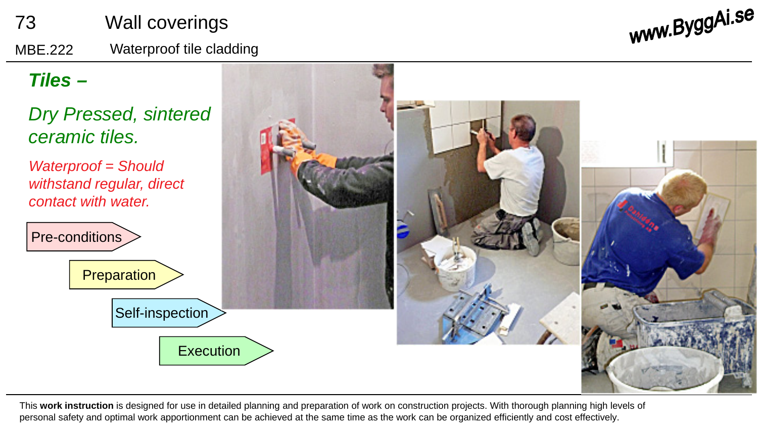

This **work instruction** is designed for use in detailed planning and preparation of work on construction projects. With thorough planning high levels of personal safety and optimal work apportionment can be achieved at the same time as the work can be organized efficiently and cost effectively.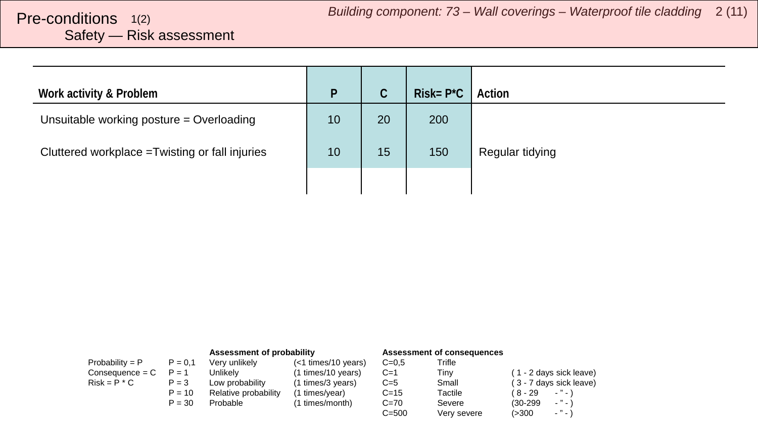## <span id="page-1-0"></span>Safety — Risk assessment

| Work activity & Problem                         | P  | C  | $Risk = P^*C$ | <sup>1</sup> Action |
|-------------------------------------------------|----|----|---------------|---------------------|
| Unsuitable working posture = Overloading        | 10 | 20 | 200           |                     |
| Cluttered workplace = Twisting or fall injuries | 10 | 15 | 150           | Regular tidying     |
|                                                 |    |    |               |                     |

|                   |           | Assessment of probability |                       |           | <b>Assessment of consequences</b> |                                        |
|-------------------|-----------|---------------------------|-----------------------|-----------|-----------------------------------|----------------------------------------|
| Probability = $P$ | $P = 0.1$ | Very unlikely             | $(<1$ times/10 years) | $C = 0.5$ | Trifle                            |                                        |
| $Consequence = C$ | $P = 1$   | Unlikelv                  | (1 times/10 years)    | $C=1$     | Tinv                              | (1 - 2 days sick leave)                |
| $Risk = P * C$    | $P = 3$   | Low probability           | (1 times/3 years)     | $C=5$     | Small                             | (3 - 7 days sick leave)                |
|                   | $P = 10$  | Relative probability      | (1 times/year)        | $C = 15$  | Tactile                           | $\cdots$<br>( 8 - 29                   |
|                   | $P = 30$  | Probable                  | (1 times/month)       | $C = 70$  | Severe                            | $\cdots$<br>$(30-299)$                 |
|                   |           |                           |                       | $C = 500$ | Very severe                       | $\sim$ $^{10}$ $\sim$ $^{11}$<br>(>300 |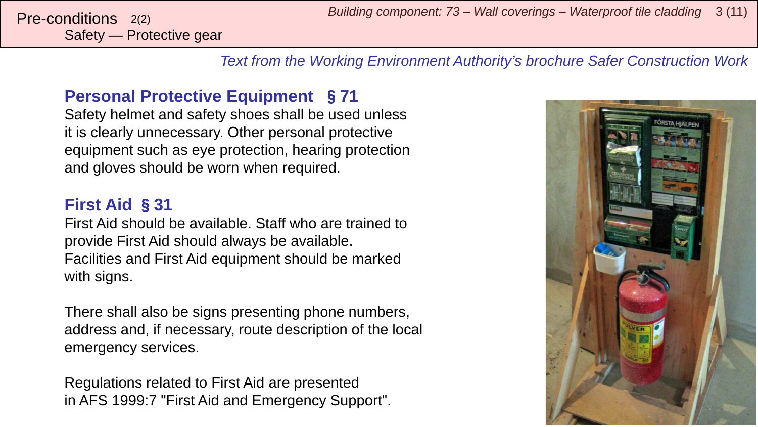Safety — Protective gear

*Text from the Working Environment Authority's brochure Safer Construction Work*

#### **Personal Protective Equipment** §**71**

Safety helmet and safety shoes shall be used unless it is clearly unnecessary. Other personal protective equipment such as eye protection, hearing protection and gloves should be worn when required.

#### **First Aid** §**31**

First Aid should be available. Staff who are trained to provide First Aid should always be available. Facilities and First Aid equipment should be marked with signs.

There shall also be signs presenting phone numbers, address and, if necessary, route description of the local emergency services.

Regulations related to First Aid are presented in AFS 1999:7 "First Aid and Emergency Support".

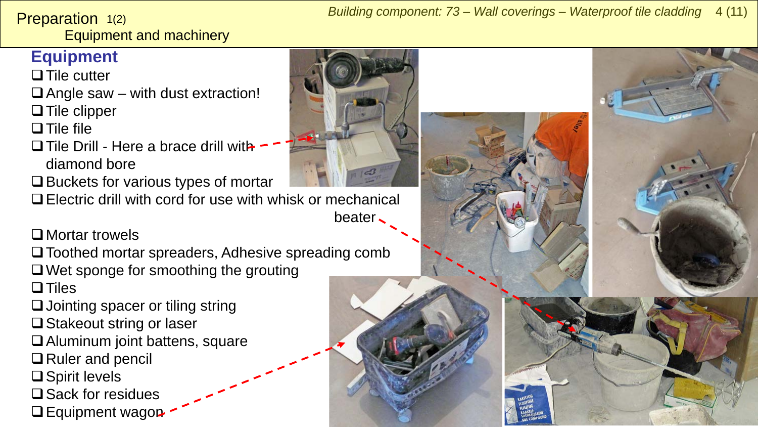<span id="page-3-0"></span>Preparation 1(2)

Equipment and machinery

## **Equipment**

 $\Box$  Tile cutter

 $\Box$  Angle saw – with dust extraction!

 $\Box$  Tile clipper

 $\Box$  Tile file

- $\Box$  Tile Drill Here a brace drill with diamond bore
- $\Box$  Buckets for various types of mortar

Electric drill with cord for use with whisk or mechanical

beater

## □ Mortar trowels

 $\square$  Toothed mortar spreaders, Adhesive spreading comb  $\Box$  Wet sponge for smoothing the grouting  $\Box$  Tiles

- □ Jointing spacer or tiling string
- $\Box$  Stakeout string or laser
- Aluminum joint battens, square
- **□** Ruler and pencil
- $\square$  Spirit levels
- $\square$  Sack for residues
- $\Box$  Equipment wagon



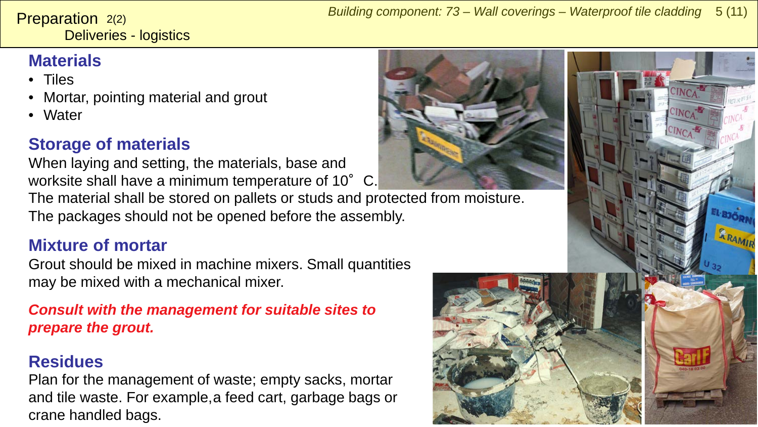Deliveries - logistics **Preparation**  $2(2)$ 

## **Materials**

- Tiles
- Mortar, pointing material and grout
- Water

## **Storage of materials**

When laying and setting, the materials, base and worksite shall have a minimum temperature of 10°C.

The material shall be stored on pallets or studs and protected from moisture. The packages should not be opened before the assembly.

### **Mixture of mortar**

Grout should be mixed in machine mixers. Small quantities may be mixed with a mechanical mixer.

#### *Consult with the management for suitable sites to prepare the grout.*

## **Residues**

Plan for the management of waste; empty sacks, mortar and tile waste. For example, a feed cart, garbage bags or crane handled bags.





RRAMIN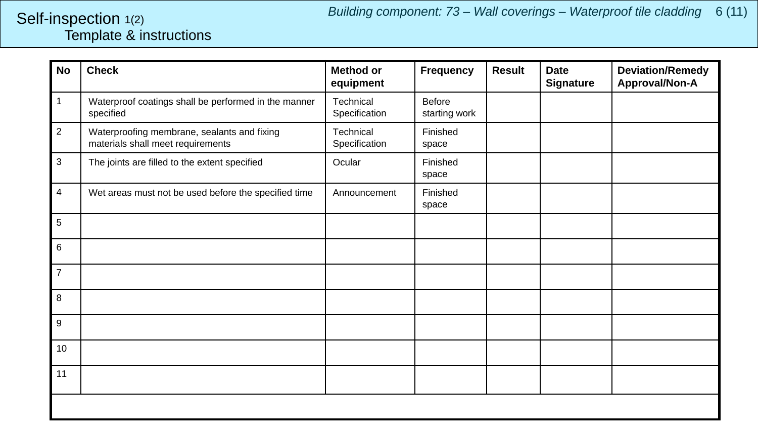#### <span id="page-5-0"></span>Template & instructions Self-inspection 1(2)

| <b>No</b>      | <b>Check</b>                                                                     | <b>Method or</b><br>equipment | <b>Frequency</b>               | <b>Result</b> | <b>Date</b><br><b>Signature</b> | <b>Deviation/Remedy</b><br>Approval/Non-A |
|----------------|----------------------------------------------------------------------------------|-------------------------------|--------------------------------|---------------|---------------------------------|-------------------------------------------|
| 1              | Waterproof coatings shall be performed in the manner<br>specified                | Technical<br>Specification    | <b>Before</b><br>starting work |               |                                 |                                           |
| $\overline{a}$ | Waterproofing membrane, sealants and fixing<br>materials shall meet requirements | Technical<br>Specification    | Finished<br>space              |               |                                 |                                           |
| 3              | The joints are filled to the extent specified                                    | Ocular                        | Finished<br>space              |               |                                 |                                           |
| 4              | Wet areas must not be used before the specified time                             | Announcement                  | Finished<br>space              |               |                                 |                                           |
| 5              |                                                                                  |                               |                                |               |                                 |                                           |
| 6              |                                                                                  |                               |                                |               |                                 |                                           |
| $\overline{7}$ |                                                                                  |                               |                                |               |                                 |                                           |
| 8              |                                                                                  |                               |                                |               |                                 |                                           |
| 9              |                                                                                  |                               |                                |               |                                 |                                           |
| 10             |                                                                                  |                               |                                |               |                                 |                                           |
| 11             |                                                                                  |                               |                                |               |                                 |                                           |
|                |                                                                                  |                               |                                |               |                                 |                                           |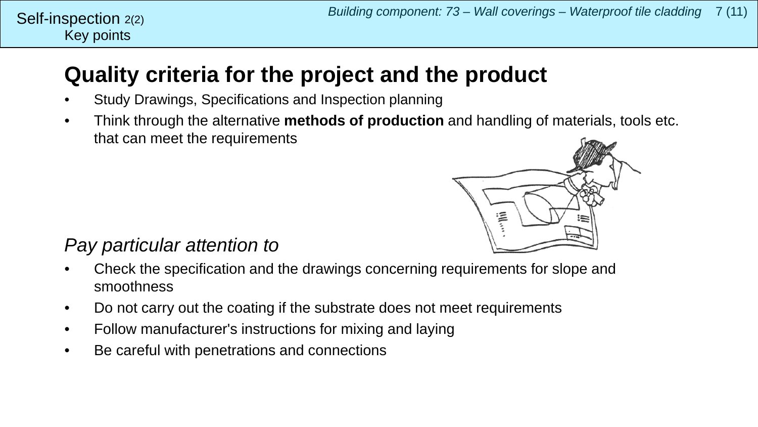#### Key points Self-inspection  $2(2)$

## **Quality criteria for the project and the product**

- Study Drawings, Specifications and Inspection planning
- Think through the alternative **methods of production** and handling of materials, tools etc. that can meet the requirements



## *Pay particular attention to*

- Check the specification and the drawings concerning requirements for slope and smoothness
- Do not carry out the coating if the substrate does not meet requirements
- Follow manufacturer's instructions for mixing and laying
- Be careful with penetrations and connections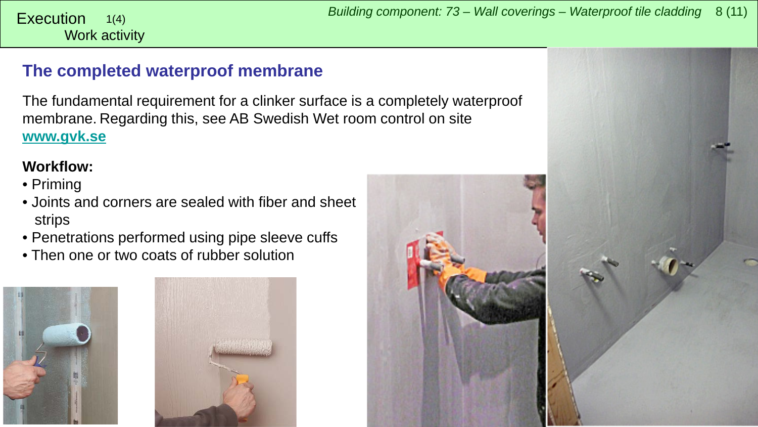### <span id="page-7-0"></span>**The completed waterproof membrane**

The fundamental requirement for a clinker surface is a completely waterproof membrane. Regarding this, see AB Swedish Wet room control on site **[www.gvk.se](http://www.gvk.se/)**

#### **Workflow:**

Work activity 1(4)

- Priming
- Joints and corners are sealed with fiber and sheet strips
- Penetrations performed using pipe sleeve cuffs
- Then one or two coats of rubber solution





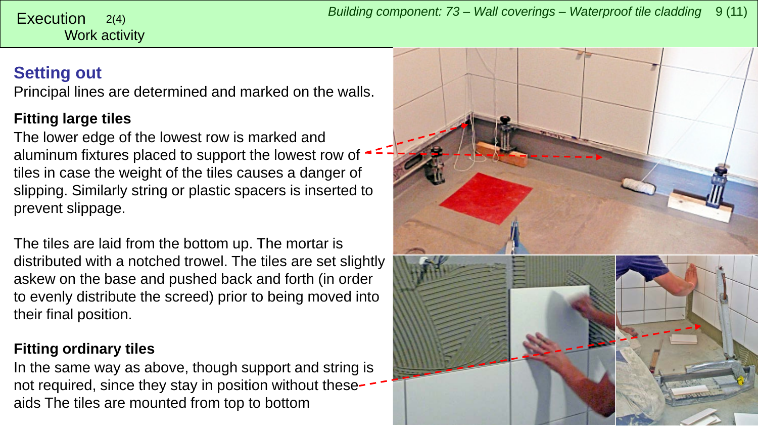# Work activity

### **Setting out**

Principal lines are determined and marked on the walls.

#### **Fitting large tiles**

The lower edge of the lowest row is marked and aluminum fixtures placed to support the lowest row of tiles in case the weight of the tiles causes a danger of slipping. Similarly string or plastic spacers is inserted to prevent slippage.

The tiles are laid from the bottom up. The mortar is distributed with a notched trowel. The tiles are set slightly askew on the base and pushed back and forth (in order to evenly distribute the screed) prior to being moved into their final position.

#### **Fitting ordinary tiles**

In the same way as above, though support and string is not required, since they stay in position without these aids The tiles are mounted from top to bottom

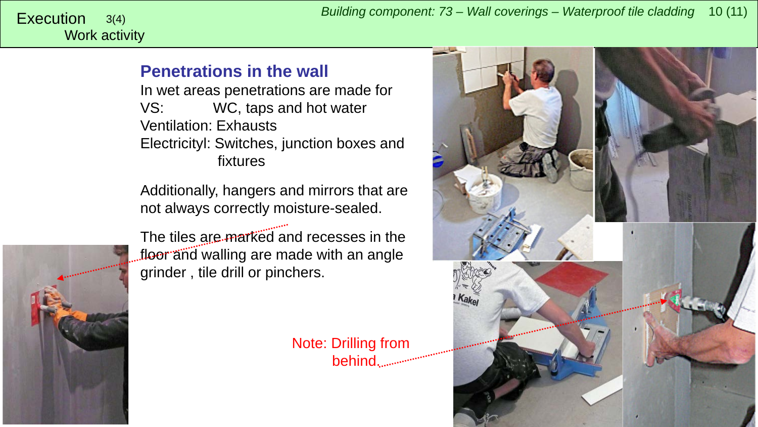## Work activity

#### **Penetrations in the wall**

In wet areas penetrations are made for VS: WC, taps and hot water Ventilation: Exhausts Electricityl: Switches, junction boxes and fixtures

Additionally, hangers and mirrors that are not always correctly moisture-sealed.



The tiles are marked and recesses in the floor and walling are made with an angle grinder , tile drill or pinchers.

> Note: Drilling from behind.